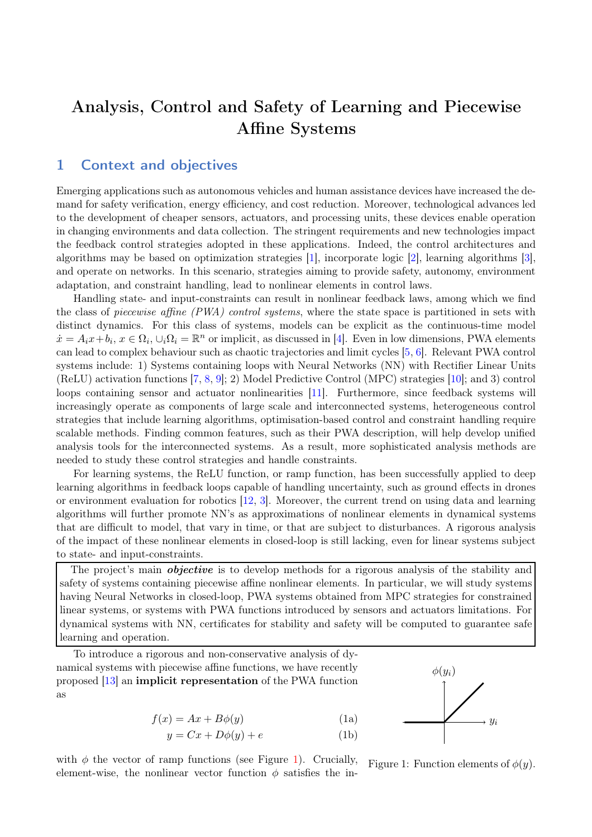## Analysis, Control and Safety of Learning and Piecewise Affine Systems

## 1 Context and objectives

Emerging applications such as autonomous vehicles and human assistance devices have increased the demand for safety verification, energy efficiency, and cost reduction. Moreover, technological advances led to the development of cheaper sensors, actuators, and processing units, these devices enable operation in changing environments and data collection. The stringent requirements and new technologies impact the feedback control strategies adopted in these applications. Indeed, the control architectures and algorithms may be based on optimization strategies [\[1\]](#page-2-0), incorporate logic [\[2\]](#page-3-0), learning algorithms [\[3\]](#page-3-1), and operate on networks. In this scenario, strategies aiming to provide safety, autonomy, environment adaptation, and constraint handling, lead to nonlinear elements in control laws.

Handling state- and input-constraints can result in nonlinear feedback laws, among which we find the class of piecewise affine (PWA) control systems, where the state space is partitioned in sets with distinct dynamics. For this class of systems, models can be explicit as the continuous-time model  $\dot{x} = A_i x + b_i, x \in \Omega_i, \cup_i \Omega_i = \mathbb{R}^n$  or implicit, as discussed in [\[4\]](#page-3-2). Even in low dimensions, PWA elements can lead to complex behaviour such as chaotic trajectories and limit cycles [\[5,](#page-3-3) [6\]](#page-3-4). Relevant PWA control systems include: 1) Systems containing loops with Neural Networks (NN) with Rectifier Linear Units (ReLU) activation functions [\[7,](#page-3-5) [8,](#page-3-6) [9\]](#page-3-7); 2) Model Predictive Control (MPC) strategies [\[10\]](#page-3-8); and 3) control loops containing sensor and actuator nonlinearities [\[11\]](#page-3-9). Furthermore, since feedback systems will increasingly operate as components of large scale and interconnected systems, heterogeneous control strategies that include learning algorithms, optimisation-based control and constraint handling require scalable methods. Finding common features, such as their PWA description, will help develop unified analysis tools for the interconnected systems. As a result, more sophisticated analysis methods are needed to study these control strategies and handle constraints.

For learning systems, the ReLU function, or ramp function, has been successfully applied to deep learning algorithms in feedback loops capable of handling uncertainty, such as ground effects in drones or environment evaluation for robotics [\[12,](#page-3-10) [3\]](#page-3-1). Moreover, the current trend on using data and learning algorithms will further promote NN's as approximations of nonlinear elements in dynamical systems that are difficult to model, that vary in time, or that are subject to disturbances. A rigorous analysis of the impact of these nonlinear elements in closed-loop is still lacking, even for linear systems subject to state- and input-constraints.

The project's main *objective* is to develop methods for a rigorous analysis of the stability and safety of systems containing piecewise affine nonlinear elements. In particular, we will study systems having Neural Networks in closed-loop, PWA systems obtained from MPC strategies for constrained linear systems, or systems with PWA functions introduced by sensors and actuators limitations. For dynamical systems with NN, certificates for stability and safety will be computed to guarantee safe learning and operation.

To introduce a rigorous and non-conservative analysis of dynamical systems with piecewise affine functions, we have recently proposed [\[13\]](#page-3-11) an implicit representation of the PWA function as

$$
f(x) = Ax + B\phi(y)
$$
 (1a)

$$
y = Cx + D\phi(y) + e \tag{1b}
$$

with  $\phi$  the vector of ramp functions (see Figure [1\)](#page-0-0). Crucially, element-wise, the nonlinear vector function  $\phi$  satisfies the in-



<span id="page-0-1"></span><span id="page-0-0"></span>Figure 1: Function elements of  $\phi(y)$ .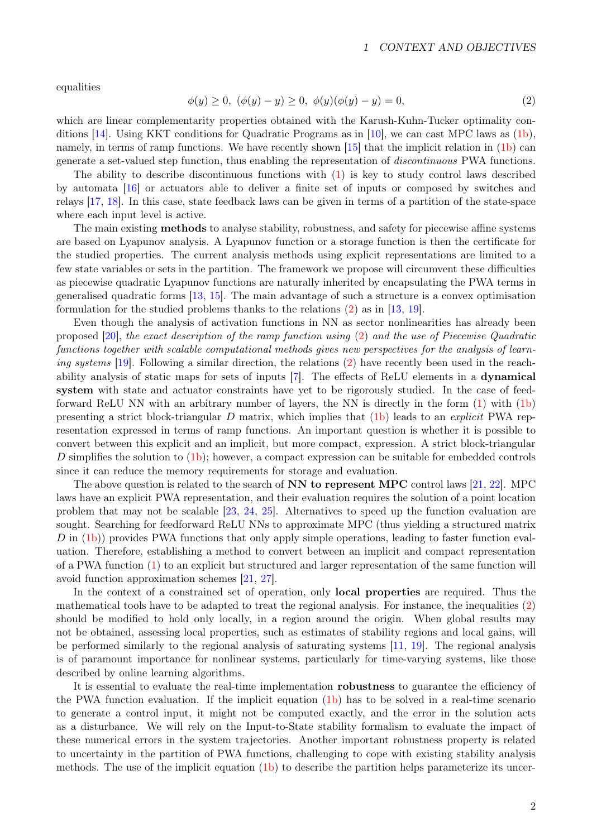<span id="page-1-0"></span>equalities

$$
\phi(y) \ge 0, \ (\phi(y) - y) \ge 0, \ \phi(y)(\phi(y) - y) = 0,\tag{2}
$$

which are linear complementarity properties obtained with the Karush-Kuhn-Tucker optimality conditions [\[14\]](#page-3-12). Using KKT conditions for Quadratic Programs as in [\[10\]](#page-3-8), we can cast MPC laws as [\(1b\)](#page-1-0), namely, in terms of ramp functions. We have recently shown [\[15\]](#page-3-13) that the implicit relation in [\(1b\)](#page-1-0) can generate a set-valued step function, thus enabling the representation of discontinuous PWA functions.

The ability to describe discontinuous functions with [\(1\)](#page-0-0) is key to study control laws described by automata [\[16\]](#page-3-14) or actuators able to deliver a finite set of inputs or composed by switches and relays [\[17,](#page-3-15) [18\]](#page-3-16). In this case, state feedback laws can be given in terms of a partition of the state-space where each input level is active.

The main existing methods to analyse stability, robustness, and safety for piecewise affine systems are based on Lyapunov analysis. A Lyapunov function or a storage function is then the certificate for the studied properties. The current analysis methods using explicit representations are limited to a few state variables or sets in the partition. The framework we propose will circumvent these difficulties as piecewise quadratic Lyapunov functions are naturally inherited by encapsulating the PWA terms in generalised quadratic forms [\[13,](#page-3-11) [15\]](#page-3-13). The main advantage of such a structure is a convex optimisation formulation for the studied problems thanks to the relations [\(2\)](#page-1-0) as in [\[13,](#page-3-11) [19\]](#page-3-17).

Even though the analysis of activation functions in NN as sector nonlinearities has already been proposed [\[20\]](#page-3-18), the exact description of the ramp function using [\(2\)](#page-1-0) and the use of Piecewise Quadratic functions together with scalable computational methods gives new perspectives for the analysis of learn-ing systems [\[19\]](#page-3-17). Following a similar direction, the relations [\(2\)](#page-1-0) have recently been used in the reachability analysis of static maps for sets of inputs [\[7\]](#page-3-5). The effects of ReLU elements in a dynamical system with state and actuator constraints have yet to be rigorously studied. In the case of feedforward ReLU NN with an arbitrary number of layers, the NN is directly in the form [\(1\)](#page-0-1) with [\(1b\)](#page-1-0) presenting a strict block-triangular D matrix, which implies that  $(1b)$  leads to an *explicit* PWA representation expressed in terms of ramp functions. An important question is whether it is possible to convert between this explicit and an implicit, but more compact, expression. A strict block-triangular D simplifies the solution to  $(1b)$ ; however, a compact expression can be suitable for embedded controls since it can reduce the memory requirements for storage and evaluation.

The above question is related to the search of  $NN$  to represent MPC control laws [\[21,](#page-3-19) [22\]](#page-3-20). MPC laws have an explicit PWA representation, and their evaluation requires the solution of a point location problem that may not be scalable [\[23,](#page-3-21) [24,](#page-3-22) [25\]](#page-3-23). Alternatives to speed up the function evaluation are sought. Searching for feedforward ReLU NNs to approximate MPC (thus yielding a structured matrix D in [\(1b\)](#page-1-0)) provides PWA functions that only apply simple operations, leading to faster function evaluation. Therefore, establishing a method to convert between an implicit and compact representation of a PWA function [\(1\)](#page-0-1) to an explicit but structured and larger representation of the same function will avoid function approximation schemes [\[21,](#page-3-19) [27\]](#page-3-24).

In the context of a constrained set of operation, only local properties are required. Thus the mathematical tools have to be adapted to treat the regional analysis. For instance, the inequalities [\(2\)](#page-1-0) should be modified to hold only locally, in a region around the origin. When global results may not be obtained, assessing local properties, such as estimates of stability regions and local gains, will be performed similarly to the regional analysis of saturating systems [\[11,](#page-3-9) [19\]](#page-3-17). The regional analysis is of paramount importance for nonlinear systems, particularly for time-varying systems, like those described by online learning algorithms.

It is essential to evaluate the real-time implementation robustness to guarantee the efficiency of the PWA function evaluation. If the implicit equation [\(1b\)](#page-1-0) has to be solved in a real-time scenario to generate a control input, it might not be computed exactly, and the error in the solution acts as a disturbance. We will rely on the Input-to-State stability formalism to evaluate the impact of these numerical errors in the system trajectories. Another important robustness property is related to uncertainty in the partition of PWA functions, challenging to cope with existing stability analysis methods. The use of the implicit equation [\(1b\)](#page-1-0) to describe the partition helps parameterize its uncer-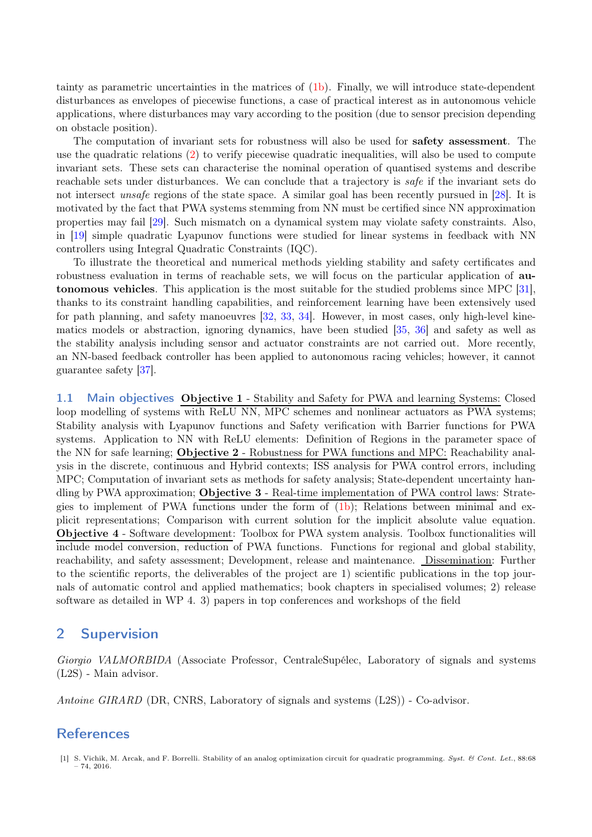tainty as parametric uncertainties in the matrices of [\(1b\)](#page-1-0). Finally, we will introduce state-dependent disturbances as envelopes of piecewise functions, a case of practical interest as in autonomous vehicle applications, where disturbances may vary according to the position (due to sensor precision depending on obstacle position).

The computation of invariant sets for robustness will also be used for safety assessment. The use the quadratic relations [\(2\)](#page-1-0) to verify piecewise quadratic inequalities, will also be used to compute invariant sets. These sets can characterise the nominal operation of quantised systems and describe reachable sets under disturbances. We can conclude that a trajectory is *safe* if the invariant sets do not intersect unsafe regions of the state space. A similar goal has been recently pursued in [\[28\]](#page-3-25). It is motivated by the fact that PWA systems stemming from NN must be certified since NN approximation properties may fail [\[29\]](#page-3-26). Such mismatch on a dynamical system may violate safety constraints. Also, in [\[19\]](#page-3-17) simple quadratic Lyapunov functions were studied for linear systems in feedback with NN controllers using Integral Quadratic Constraints (IQC).

To illustrate the theoretical and numerical methods yielding stability and safety certificates and robustness evaluation in terms of reachable sets, we will focus on the particular application of autonomous vehicles. This application is the most suitable for the studied problems since MPC [\[31\]](#page-3-27), thanks to its constraint handling capabilities, and reinforcement learning have been extensively used for path planning, and safety manoeuvres [\[32,](#page-3-28) [33,](#page-3-29) [34\]](#page-3-30). However, in most cases, only high-level kinematics models or abstraction, ignoring dynamics, have been studied [\[35,](#page-3-31) [36\]](#page-3-32) and safety as well as the stability analysis including sensor and actuator constraints are not carried out. More recently, an NN-based feedback controller has been applied to autonomous racing vehicles; however, it cannot guarantee safety [\[37\]](#page-3-33).

1.1 Main objectives Objective 1 - Stability and Safety for PWA and learning Systems: Closed loop modelling of systems with ReLU NN, MPC schemes and nonlinear actuators as PWA systems; Stability analysis with Lyapunov functions and Safety verification with Barrier functions for PWA systems. Application to NN with ReLU elements: Definition of Regions in the parameter space of the NN for safe learning; Objective 2 - Robustness for PWA functions and MPC: Reachability analysis in the discrete, continuous and Hybrid contexts; ISS analysis for PWA control errors, including MPC; Computation of invariant sets as methods for safety analysis; State-dependent uncertainty handling by PWA approximation; Objective 3 - Real-time implementation of PWA control laws: Strategies to implement of PWA functions under the form of [\(1b\)](#page-1-0); Relations between minimal and explicit representations; Comparison with current solution for the implicit absolute value equation. Objective 4 - Software development: Toolbox for PWA system analysis. Toolbox functionalities will include model conversion, reduction of PWA functions. Functions for regional and global stability, reachability, and safety assessment; Development, release and maintenance. Dissemination: Further to the scientific reports, the deliverables of the project are 1) scientific publications in the top journals of automatic control and applied mathematics; book chapters in specialised volumes; 2) release software as detailed in WP 4. 3) papers in top conferences and workshops of the field

## 2 Supervision

Giorgio VALMORBIDA (Associate Professor, CentraleSupélec, Laboratory of signals and systems (L2S) - Main advisor.

Antoine GIRARD (DR, CNRS, Laboratory of signals and systems (L2S)) - Co-advisor.

## References

<span id="page-2-0"></span><sup>[1]</sup> S. Vichik, M. Arcak, and F. Borrelli. Stability of an analog optimization circuit for quadratic programming. *Syst. & Cont. Let.*, 88:68  $-74, 2016$